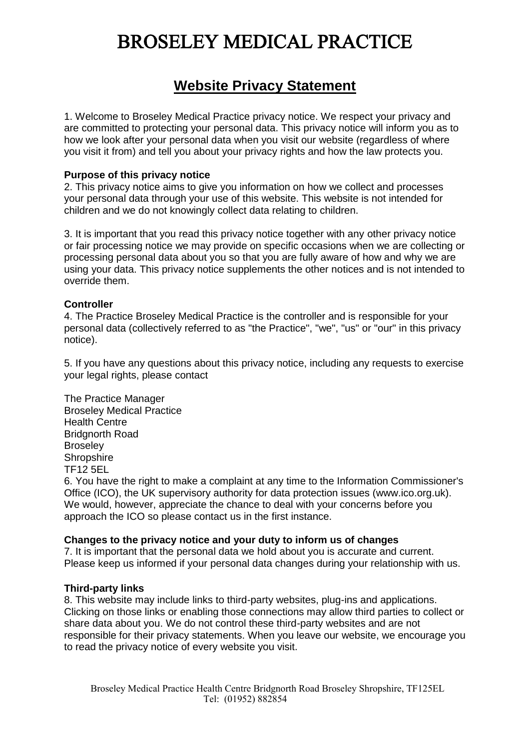## **Website Privacy Statement**

 1. Welcome to Broseley Medical Practice privacy notice. We respect your privacy and are committed to protecting your personal data. This privacy notice will inform you as to how we look after your personal data when you visit our website (regardless of where you visit it from) and tell you about your privacy rights and how the law protects you.

### **Purpose of this privacy notice**

 2. This privacy notice aims to give you information on how we collect and processes your personal data through your use of this website. This website is not intended for children and we do not knowingly collect data relating to children.

 3. It is important that you read this privacy notice together with any other privacy notice or fair processing notice we may provide on specific occasions when we are collecting or processing personal data about you so that you are fully aware of how and why we are using your data. This privacy notice supplements the other notices and is not intended to override them.

### **Controller**

 4. The Practice Broseley Medical Practice is the controller and is responsible for your personal data (collectively referred to as "the Practice", "we", "us" or "our" in this privacy notice).

notice).<br>5. If you have any questions about this privacy notice, including any requests to exercise your legal rights, please contact

 The Practice Manager Broseley Medical Practice Health Centre Bridgnorth Road **Broseley TF12 5EL** Broseley<br>Shropshire<br>TF12 5EL

 6. You have the right to make a complaint at any time to the Information Commissioner's Office (ICO), the UK supervisory authority for data protection issues (<www.ico.org.uk>). We would, however, appreciate the chance to deal with your concerns before you approach the ICO so please contact us in the first instance.

#### **Changes to the privacy notice and your duty to inform us of changes**

 7. It is important that the personal data we hold about you is accurate and current. Please keep us informed if your personal data changes during your relationship with us.

#### **Third-party links**

 8. This website may include links to third-party websites, plug-ins and applications. Clicking on those links or enabling those connections may allow third parties to collect or share data about you. We do not control these third-party websites and are not responsible for their privacy statements. When you leave our website, we encourage you to read the privacy notice of every website you visit.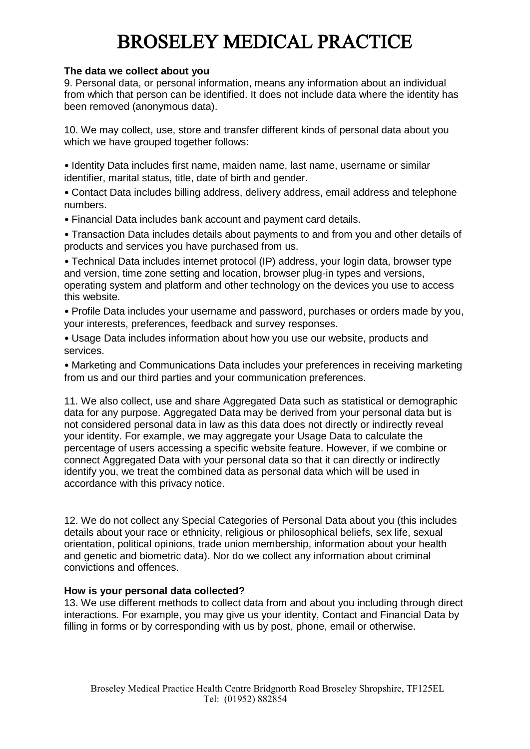#### **The data we collect about you**

 9. Personal data, or personal information, means any information about an individual from which that person can be identified. It does not include data where the identity has been removed (anonymous data).

 10. We may collect, use, store and transfer different kinds of personal data about you which we have grouped together follows:

 • Identity Data includes first name, maiden name, last name, username or similar identifier, marital status, title, date of birth and gender.

 • Contact Data includes billing address, delivery address, email address and telephone numbers.

• Financial Data includes bank account and payment card details.

 • Transaction Data includes details about payments to and from you and other details of products and services you have purchased from us.

 • Technical Data includes internet protocol (IP) address, your login data, browser type and version, time zone setting and location, browser plug-in types and versions, operating system and platform and other technology on the devices you use to access this website.

 • Profile Data includes your username and password, purchases or orders made by you, your interests, preferences, feedback and survey responses.

 • Usage Data includes information about how you use our website, products and services.

 • Marketing and Communications Data includes your preferences in receiving marketing from us and our third parties and your communication preferences.

 11. We also collect, use and share Aggregated Data such as statistical or demographic data for any purpose. Aggregated Data may be derived from your personal data but is not considered personal data in law as this data does not directly or indirectly reveal your identity. For example, we may aggregate your Usage Data to calculate the percentage of users accessing a specific website feature. However, if we combine or connect Aggregated Data with your personal data so that it can directly or indirectly identify you, we treat the combined data as personal data which will be used in accordance with this privacy notice.

 12. We do not collect any Special Categories of Personal Data about you (this includes details about your race or ethnicity, religious or philosophical beliefs, sex life, sexual orientation, political opinions, trade union membership, information about your health and genetic and biometric data). Nor do we collect any information about criminal convictions and offences.

### **How is your personal data collected?**

 13. We use different methods to collect data from and about you including through direct interactions. For example, you may give us your identity, Contact and Financial Data by filling in forms or by corresponding with us by post, phone, email or otherwise.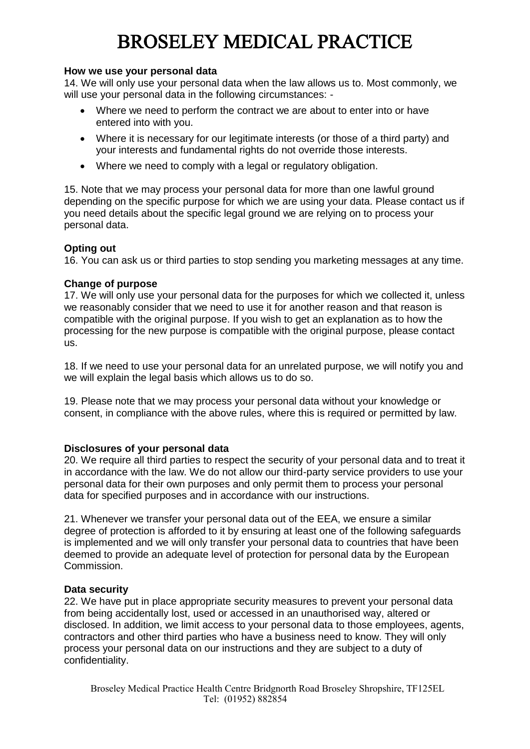#### **How we use your personal data**

 14. We will only use your personal data when the law allows us to. Most commonly, we will use your personal data in the following circumstances: -

- Where we need to perform the contract we are about to enter into or have entered into with you.
- Where it is necessary for our legitimate interests (or those of a third party) and your interests and fundamental rights do not override those interests.
- $\bullet$ Where we need to comply with a legal or regulatory obligation.

 15. Note that we may process your personal data for more than one lawful ground depending on the specific purpose for which we are using your data. Please contact us if you need details about the specific legal ground we are relying on to process your personal data.

#### **Opting out**

16. You can ask us or third parties to stop sending you marketing messages at any time.

#### **Change of purpose**

 17. We will only use your personal data for the purposes for which we collected it, unless we reasonably consider that we need to use it for another reason and that reason is compatible with the original purpose. If you wish to get an explanation as to how the processing for the new purpose is compatible with the original purpose, please contact us.

us.<br>18. If we need to use your personal data for an unrelated purpose, we will notify you and we will explain the legal basis which allows us to do so.

 19. Please note that we may process your personal data without your knowledge or consent, in compliance with the above rules, where this is required or permitted by law.

### **Disclosures of your personal data**

 20. We require all third parties to respect the security of your personal data and to treat it in accordance with the law. We do not allow our third-party service providers to use your personal data for their own purposes and only permit them to process your personal data for specified purposes and in accordance with our instructions.

 21. Whenever we transfer your personal data out of the EEA, we ensure a similar degree of protection is afforded to it by ensuring at least one of the following safeguards is implemented and we will only transfer your personal data to countries that have been deemed to provide an adequate level of protection for personal data by the European Commission.

### **Data security**

 22. We have put in place appropriate security measures to prevent your personal data from being accidentally lost, used or accessed in an unauthorised way, altered or disclosed. In addition, we limit access to your personal data to those employees, agents, contractors and other third parties who have a business need to know. They will only process your personal data on our instructions and they are subject to a duty of confidentiality.

 Tel: (01952) 882854 Broseley Medical Practice Health Centre Bridgnorth Road Broseley Shropshire, TF125EL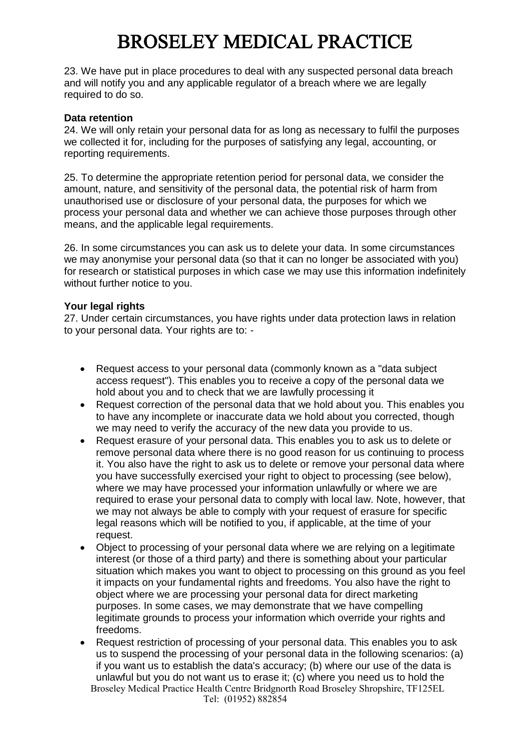23. We have put in place procedures to deal with any suspected personal data breach and will notify you and any applicable regulator of a breach where we are legally required to do so.

#### **Data retention**

 24. We will only retain your personal data for as long as necessary to fulfil the purposes we collected it for, including for the purposes of satisfying any legal, accounting, or reporting requirements.

reporting requirements.<br>25. To determine the appropriate retention period for personal data, we consider the amount, nature, and sensitivity of the personal data, the potential risk of harm from unauthorised use or disclosure of your personal data, the purposes for which we process your personal data and whether we can achieve those purposes through other means, and the applicable legal requirements.

 26. In some circumstances you can ask us to delete your data. In some circumstances we may anonymise your personal data (so that it can no longer be associated with you) for research or statistical purposes in which case we may use this information indefinitely without further notice to you.

#### **Your legal rights**

 27. Under certain circumstances, you have rights under data protection laws in relation to your personal data. Your rights are to: -

- $\bullet$  access request"). This enables you to receive a copy of the personal data we hold about you and to check that we are lawfully processing it Request access to your personal data (commonly known as a "data subject
- $\bullet$  to have any incomplete or inaccurate data we hold about you corrected, though we may need to verify the accuracy of the new data you provide to us. Request correction of the personal data that we hold about you. This enables you
- $\bullet$  remove personal data where there is no good reason for us continuing to process it. You also have the right to ask us to delete or remove your personal data where you have successfully exercised your right to object to processing (see below), where we may have processed your information unlawfully or where we are required to erase your personal data to comply with local law. Note, however, that we may not always be able to comply with your request of erasure for specific legal reasons which will be notified to you, if applicable, at the time of your request. Request erasure of your personal data. This enables you to ask us to delete or
- interest (or those of a third party) and there is something about your particular situation which makes you want to object to processing on this ground as you feel it impacts on your fundamental rights and freedoms. You also have the right to object where we are processing your personal data for direct marketing purposes. In some cases, we may demonstrate that we have compelling legitimate grounds to process your information which override your rights and freedoms. Object to processing of your personal data where we are relying on a legitimate
- Tel: (01952) 882854  $\bullet$  us to suspend the processing of your personal data in the following scenarios: (a) if you want us to establish the data's accuracy; (b) where our use of the data is unlawful but you do not want us to erase it; (c) where you need us to hold the Request restriction of processing of your personal data. This enables you to ask Broseley Medical Practice Health Centre Bridgnorth Road Broseley Shropshire, TF125EL